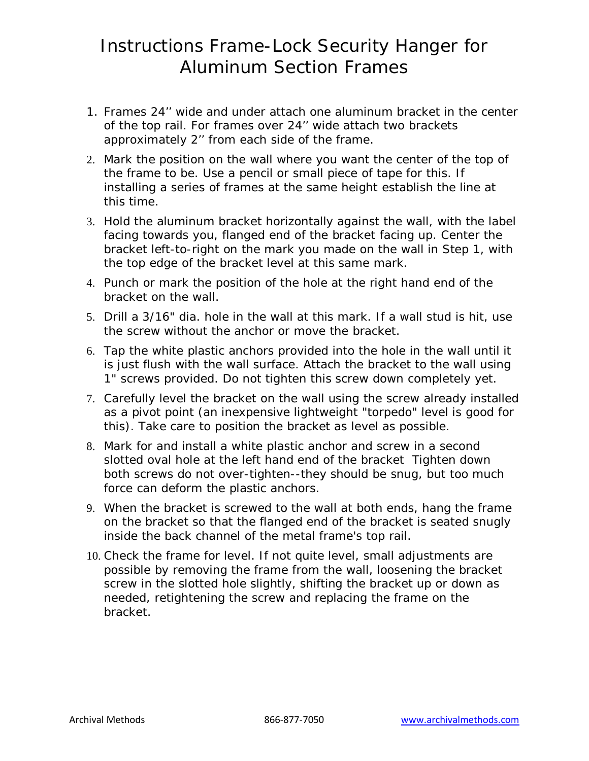## Instructions Frame-Lock Security Hanger for Aluminum Section Frames

- 1. Frames 24'' wide and under attach one aluminum bracket in the center of the top rail. For frames over 24'' wide attach two brackets approximately 2'' from each side of the frame.
- 2. Mark the position on the wall where you want the center of the top of the frame to be. Use a pencil or small piece of tape for this. If installing a series of frames at the same height establish the line at this time.
- 3. Hold the aluminum bracket horizontally against the wall, with the label facing towards you, flanged end of the bracket facing up. Center the bracket left-to-right on the mark you made on the wall in Step 1, with the top edge of the bracket level at this same mark.
- 4. Punch or mark the position of the hole at the right hand end of the bracket on the wall.
- 5. Drill a 3/16" dia. hole in the wall at this mark. If a wall stud is hit, use the screw without the anchor or move the bracket.
- 6. Tap the white plastic anchors provided into the hole in the wall until it is just flush with the wall surface. Attach the bracket to the wall using 1" screws provided. Do not tighten this screw down completely yet.
- 7. Carefully level the bracket on the wall using the screw already installed as a pivot point (an inexpensive lightweight "torpedo" level is good for this). Take care to position the bracket as level as possible.
- 8. Mark for and install a white plastic anchor and screw in a second slotted oval hole at the left hand end of the bracket Tighten down both screws do not over-tighten--they should be snug, but too much force can deform the plastic anchors.
- 9. When the bracket is screwed to the wall at both ends, hang the frame on the bracket so that the flanged end of the bracket is seated snugly inside the back channel of the metal frame's top rail.
- 10. Check the frame for level. If not quite level, small adjustments are possible by removing the frame from the wall, loosening the bracket screw in the slotted hole slightly, shifting the bracket up or down as needed, retightening the screw and replacing the frame on the bracket.